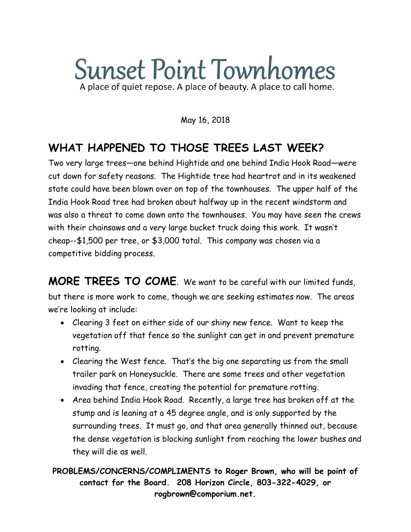# **Sunset Point Townhomes** A place of quiet repose. A place of beauty. A place to call home.

#### May 16, 2018

### **WHAT HAPPENED TO THOSE TREES LAST WEEK?**

Two very large trees—one behind Hightide and one behind India Hook Road—were cut down for safety reasons. The Hightide tree had heartrot and in its weakened state could have been blown over on top of the townhouses. The upper half of the India Hook Road tree had broken about halfway up in the recent windstorm and was also a threat to come down onto the townhouses. You may have seen the crews with their chainsaws and a very large bucket truck doing this work. It wasn't cheap--\$1,500 per tree, or \$3,000 total. This company was chosen via a competitive bidding process.

**MORE TREES TO COME**. We want to be careful with our limited funds, but there is more work to come, though we are seeking estimates now. The areas we're looking at include:

- Clearing 3 feet on either side of our shiny new fence. Want to keep the vegetation off that fence so the sunlight can get in and prevent premature rotting.
- Clearing the West fence. That's the big one separating us from the small trailer park on Honeysuckle. There are some trees and other vegetation invading that fence, creating the potential for premature rotting.
- Area behind India Hook Road. Recently, a large tree has broken off at the stump and is leaning at a 45 degree angle, and is only supported by the surrounding trees. It must go, and that area generally thinned out, because the dense vegetation is blocking sunlight from reaching the lower bushes and they will die as well.

**PROBLEMS/CONCERNS/COMPLIMENTS to Roger Brown, who will be point of contact for the Board. 208 Horizon Circle, 803-322-4029, or rogbrown@comporium.net.**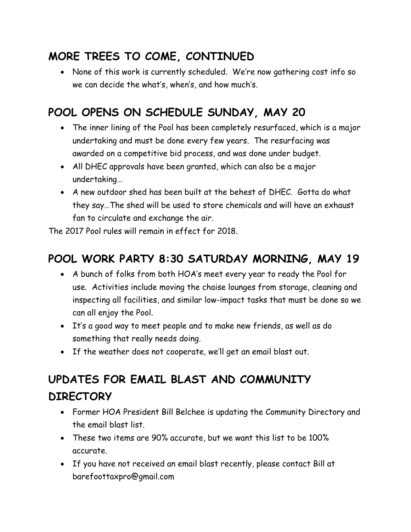### **MORE TREES TO COME, CONTINUED**

 None of this work is currently scheduled. We're now gathering cost info so we can decide the what's, when's, and how much's.

### **POOL OPENS ON SCHEDULE SUNDAY, MAY 20**

- The inner lining of the Pool has been completely resurfaced, which is a major undertaking and must be done every few years. The resurfacing was awarded on a competitive bid process, and was done under budget.
- All DHEC approvals have been granted, which can also be a major undertaking…
- A new outdoor shed has been built at the behest of DHEC. Gotta do what they say…The shed will be used to store chemicals and will have an exhaust fan to circulate and exchange the air.

The 2017 Pool rules will remain in effect for 2018.

### **POOL WORK PARTY 8:30 SATURDAY MORNING, MAY 19**

- A bunch of folks from both HOA's meet every year to ready the Pool for use. Activities include moving the chaise lounges from storage, cleaning and inspecting all facilities, and similar low-impact tasks that must be done so we can all enjoy the Pool.
- It's a good way to meet people and to make new friends, as well as do something that really needs doing.
- If the weather does not cooperate, we'll get an email blast out.

## **UPDATES FOR EMAIL BLAST AND COMMUNITY DIRECTORY**

- Former HOA President Bill Belchee is updating the Community Directory and the email blast list.
- These two items are 90% accurate, but we want this list to be 100% accurate.
- If you have not received an email blast recently, please contact Bill at barefoottaxpro@gmail.com